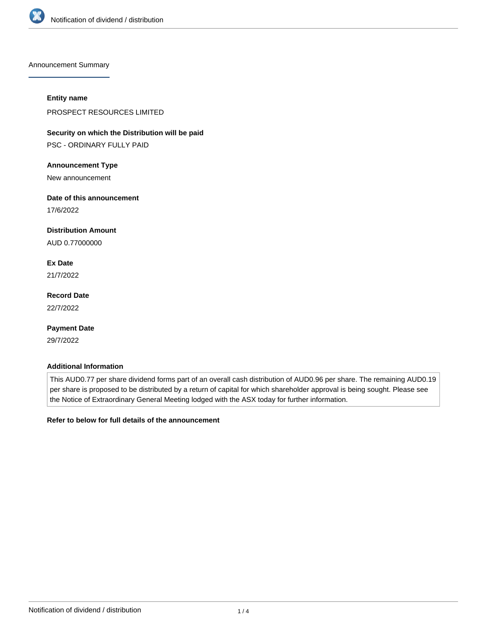

Announcement Summary

#### **Entity name**

PROSPECT RESOURCES LIMITED

**Security on which the Distribution will be paid**

PSC - ORDINARY FULLY PAID

#### **Announcement Type**

New announcement

## **Date of this announcement**

17/6/2022

# **Distribution Amount**

AUD 0.77000000

# **Ex Date**

21/7/2022

# **Record Date**

22/7/2022

# **Payment Date**

29/7/2022

## **Additional Information**

This AUD0.77 per share dividend forms part of an overall cash distribution of AUD0.96 per share. The remaining AUD0.19 per share is proposed to be distributed by a return of capital for which shareholder approval is being sought. Please see the Notice of Extraordinary General Meeting lodged with the ASX today for further information.

## **Refer to below for full details of the announcement**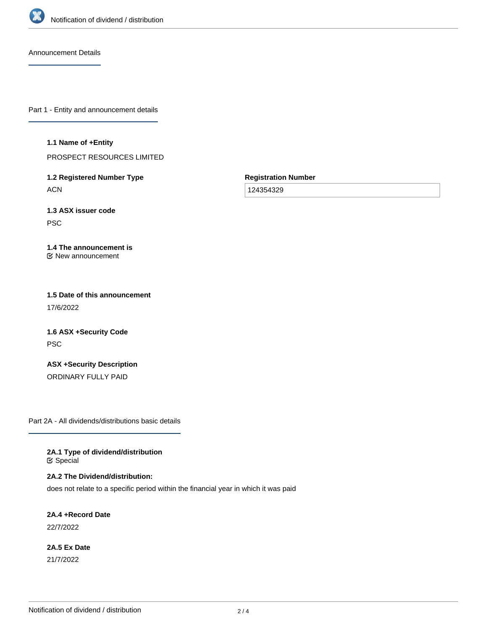

Announcement Details

Part 1 - Entity and announcement details

#### **1.1 Name of +Entity**

PROSPECT RESOURCES LIMITED

**1.2 Registered Number Type ACN** 

**Registration Number**

124354329

**1.3 ASX issuer code** PSC

#### **1.4 The announcement is** New announcement

**1.5 Date of this announcement** 17/6/2022

**1.6 ASX +Security Code** PSC

**ASX +Security Description** ORDINARY FULLY PAID

Part 2A - All dividends/distributions basic details

**2A.1 Type of dividend/distribution &** Special

**2A.2 The Dividend/distribution:**

does not relate to a specific period within the financial year in which it was paid

**2A.4 +Record Date** 22/7/2022

**2A.5 Ex Date** 21/7/2022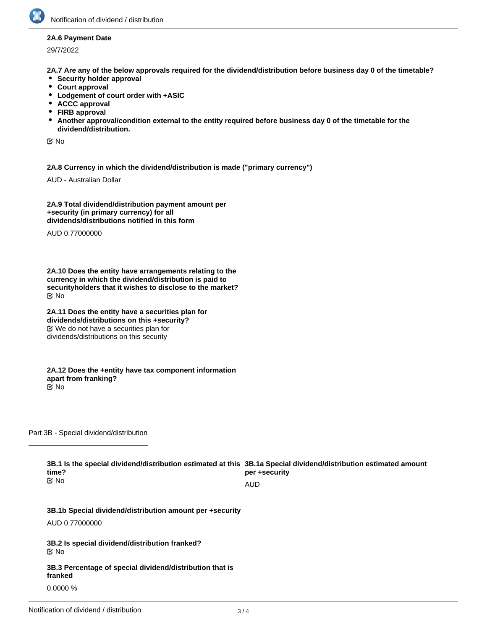

#### **2A.6 Payment Date**

29/7/2022

**2A.7 Are any of the below approvals required for the dividend/distribution before business day 0 of the timetable?**

- **Security holder approval**
- **Court approval**
- **Lodgement of court order with +ASIC**
- **ACCC approval**
- **FIRB approval**
- **Another approval/condition external to the entity required before business day 0 of the timetable for the dividend/distribution.**

No

**2A.8 Currency in which the dividend/distribution is made ("primary currency")**

AUD - Australian Dollar

**2A.9 Total dividend/distribution payment amount per +security (in primary currency) for all dividends/distributions notified in this form**

AUD 0.77000000

**2A.10 Does the entity have arrangements relating to the currency in which the dividend/distribution is paid to securityholders that it wishes to disclose to the market?** No

**2A.11 Does the entity have a securities plan for dividends/distributions on this +security?** We do not have a securities plan for dividends/distributions on this security

**2A.12 Does the +entity have tax component information apart from franking?**  $\mathbf{\overline{C}}$  No

Part 3B - Special dividend/distribution

**3B.1 Is the special dividend/distribution estimated at this 3B.1a Special dividend/distribution estimated amount time? per +security** No

AUD

**3B.1b Special dividend/distribution amount per +security**

AUD 0.77000000

**3B.2 Is special dividend/distribution franked?** No

**3B.3 Percentage of special dividend/distribution that is franked** 0.0000 %